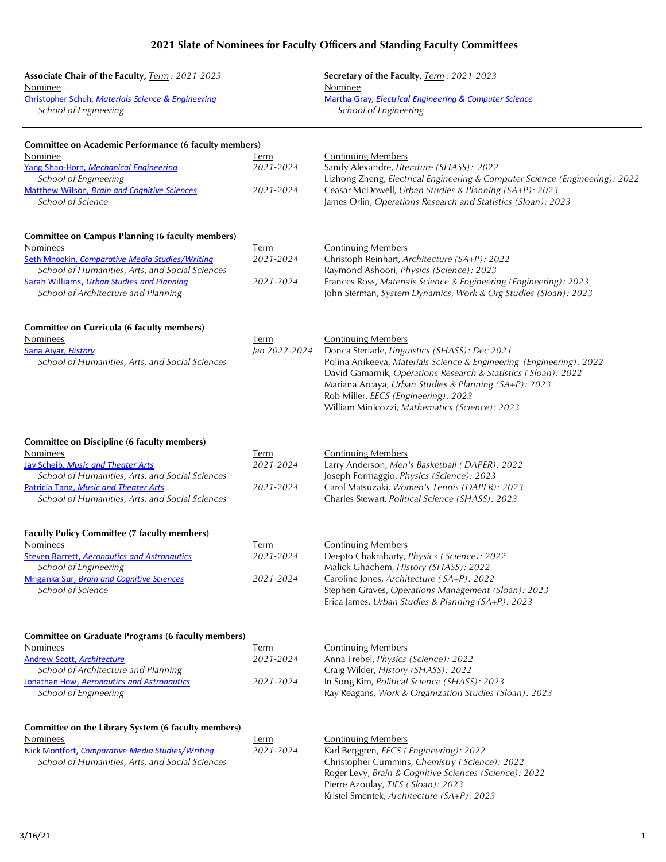## **2021 Slate of Nominees for Faculty Officers and Standing Faculty Committees**

| Associate Chair of the Faculty, Term: 2021-2023<br>Nominee<br>Christopher Schuh, Materials Science & Engineering<br>School of Engineering                                                                                                                      |                                       | Secretary of the Faculty, Term: 2021-2023<br>Nominee<br>Martha Gray, Electrical Engineering & Computer Science<br><b>School of Engineering</b>                                                                                                                                                                                                                          |
|----------------------------------------------------------------------------------------------------------------------------------------------------------------------------------------------------------------------------------------------------------------|---------------------------------------|-------------------------------------------------------------------------------------------------------------------------------------------------------------------------------------------------------------------------------------------------------------------------------------------------------------------------------------------------------------------------|
| <b>Committee on Academic Performance (6 faculty members)</b><br>Nominee<br>Yang Shao-Horn, Mechanical Engineering<br>School of Engineering<br>Matthew Wilson, Brain and Cognitive Sciences<br>School of Science                                                | Term<br>2021-2024<br>2021-2024        | <b>Continuing Members</b><br>Sandy Alexandre, Literature (SHASS): 2022<br>Lizhong Zheng, Electrical Engineering & Computer Science (Engineering): 2022<br>Ceasar McDowell, Urban Studies & Planning (SA+P): 2023<br>James Orlin, Operations Research and Statistics (Sloan): 2023                                                                                       |
| <b>Committee on Campus Planning (6 faculty members)</b><br>Nominees<br>Seth Mnookin, Comparative Media Studies/Writing<br>School of Humanities, Arts, and Social Sciences<br>Sarah Williams, Urban Studies and Planning<br>School of Architecture and Planning | Term<br>2021-2024<br>2021-2024        | <b>Continuing Members</b><br>Christoph Reinhart, Architecture (SA+P): 2022<br>Raymond Ashoori, Physics (Science): 2023<br>Frances Ross, Materials Science & Engineering (Engineering): 2023<br>John Sterman, System Dynamics, Work & Org Studies (Sloan): 2023                                                                                                          |
| <b>Committee on Curricula (6 faculty members)</b><br>Nominees<br>Sana Aiyar, History<br>School of Humanities, Arts, and Social Sciences                                                                                                                        | Term<br>Jan 2022-2024                 | <b>Continuing Members</b><br>Donca Steriade, Linguistics (SHASS): Dec 2021<br>Polina Anikeeva, Materials Science & Engineering (Engineering): 2022<br>David Gamarnik, Operations Research & Statistics (Sloan): 2022<br>Mariana Arcaya, Urban Studies & Planning (SA+P): 2023<br>Rob Miller, EECS (Engineering): 2023<br>William Minicozzi, Mathematics (Science): 2023 |
| <b>Committee on Discipline (6 faculty members)</b><br>Nominees<br>Jay Scheib, Music and Theater Arts<br>School of Humanities, Arts, and Social Sciences<br>Patricia Tang, Music and Theater Arts<br>School of Humanities, Arts, and Social Sciences            | Term<br>2021-2024<br>2021-2024        | <b>Continuing Members</b><br>Larry Anderson, Men's Basketball (DAPER): 2022<br>Joseph Formaggio, Physics (Science): 2023<br>Carol Matsuzaki, Women's Tennis (DAPER): 2023<br>Charles Stewart, Political Science (SHASS): 2023                                                                                                                                           |
| <b>Faculty Policy Committee (7 faculty members)</b><br>Nominees<br><b>Steven Barrett, Aeronautics and Astronautics</b><br>School of Engineering<br>Mriganka Sur, Brain and Cognitive Sciences<br>School of Science                                             | Term<br>2021-2024<br>2021-2024        | <b>Continuing Members</b><br>Deepto Chakrabarty, Physics (Science): 2022<br>Malick Ghachem, History (SHASS): 2022<br>Caroline Jones, Architecture (SA+P): 2022<br>Stephen Graves, Operations Management (Sloan): 2023<br>Erica James, Urban Studies & Planning (SA+P): 2023                                                                                             |
| <b>Committee on Graduate Programs (6 faculty members)</b><br>Nominees<br><b>Andrew Scott, Architecture</b><br>School of Architecture and Planning<br>Jonathan How, Aeronautics and Astronautics<br>School of Engineering                                       | <u>Term</u><br>2021-2024<br>2021-2024 | <b>Continuing Members</b><br>Anna Frebel, Physics (Science): 2022<br>Craig Wilder, History (SHASS): 2022<br>In Song Kim, Political Science (SHASS): 2023<br>Ray Reagans, Work & Organization Studies (Sloan): 2023                                                                                                                                                      |
| Committee on the Library System (6 faculty members)<br>Nominees<br>Nick Montfort, Comparative Media Studies/Writing<br>School of Humanities, Arts, and Social Sciences                                                                                         | <u>Term</u><br>2021-2024              | <b>Continuing Members</b><br>Karl Berggren, EECS (Engineering): 2022<br>Christopher Cummins, Chemistry (Science): 2022<br>Roger Levy, Brain & Cognitive Sciences (Science): 2022<br>Pierre Azoulay, TIES (Sloan): 2023                                                                                                                                                  |

Kristel Smentek, *Architecture (SA+P): 2023*